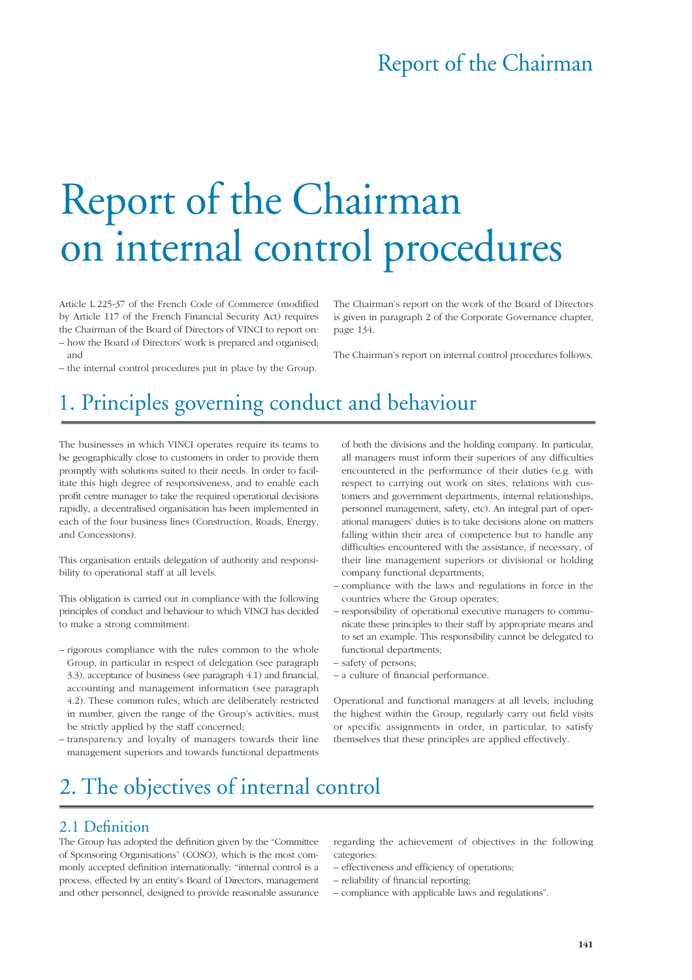## Report of the Chairman

# Report of the Chairman on internal control procedures

Article L.225-37 of the French Code of Commerce (modified by Article 117 of the French Financial Security Act) requires the Chairman of the Board of Directors of VINCI to report on: – how the Board of Directors' work is prepared and organised; and

The Chairman's report on the work of the Board of Directors is given in paragraph 2 of the Corporate Governance chapter, page 134.

The Chairman's report on internal control procedures follows.

– the internal control procedures put in place by the Group.

# 1. Principles governing conduct and behaviour

The businesses in which VINCI operates require its teams to be geographically close to customers in order to provide them promptly with solutions suited to their needs. In order to facilitate this high degree of responsiveness, and to enable each profit centre manager to take the required operational decisions rapidly, a decentralised organisation has been implemented in each of the four business lines (Construction, Roads, Energy, and Concessions).

This organisation entails delegation of authority and responsibility to operational staff at all levels.

This obligation is carried out in compliance with the following principles of conduct and behaviour to which VINCI has decided to make a strong commitment:

- rigorous compliance with the rules common to the whole Group, in particular in respect of delegation (see paragraph 3.3), acceptance of business (see paragraph 4.1) and financial, accounting and management information (see paragraph 4.2). These common rules, which are deliberately restricted in number, given the range of the Group's activities, must be strictly applied by the staff concerned;
- transparency and loyalty of managers towards their line management superiors and towards functional departments

of both the divisions and the holding company. In particular, all managers must inform their superiors of any difficulties encountered in the performance of their duties (e.g. with respect to carrying out work on sites, relations with customers and government departments, internal relationships, personnel management, safety, etc). An integral part of operational managers' duties is to take decisions alone on matters falling within their area of competence but to handle any difficulties encountered with the assistance, if necessary, of their line management superiors or divisional or holding company functional departments;

- compliance with the laws and regulations in force in the countries where the Group operates;
- responsibility of operational executive managers to communicate these principles to their staff by appropriate means and to set an example. This responsibility cannot be delegated to functional departments;
- safety of persons;
- a culture of financial performance.

Operational and functional managers at all levels, including the highest within the Group, regularly carry out field visits or specific assignments in order, in particular, to satisfy themselves that these principles are applied effectively.

# 2. The objectives of internal control

#### 2.1 Definition

The Group has adopted the definition given by the "Committee of Sponsoring Organisations" (COSO), which is the most commonly accepted definition internationally: "internal control is a process, effected by an entity's Board of Directors, management and other personnel, designed to provide reasonable assurance

regarding the achievement of objectives in the following categories:

- effectiveness and efficiency of operations;
- reliability of financial reporting;
- compliance with applicable laws and regulations".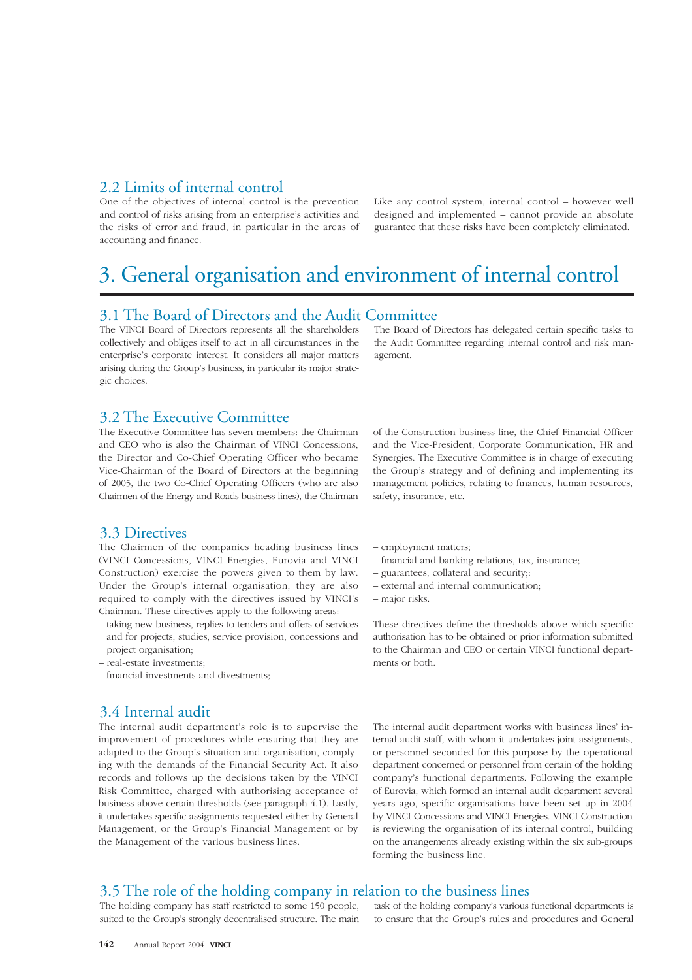### 2.2 Limits of internal control

One of the objectives of internal control is the prevention and control of risks arising from an enterprise's activities and the risks of error and fraud, in particular in the areas of accounting and finance.

Like any control system, internal control – however well designed and implemented – cannot provide an absolute guarantee that these risks have been completely eliminated.

## 3. General organisation and environment of internal control

#### 3.1 The Board of Directors and the Audit Committee

The VINCI Board of Directors represents all the shareholders collectively and obliges itself to act in all circumstances in the enterprise's corporate interest. It considers all major matters arising during the Group's business, in particular its major strategic choices.

The Board of Directors has delegated certain specific tasks to the Audit Committee regarding internal control and risk management.

#### 3.2 The Executive Committee

The Executive Committee has seven members: the Chairman and CEO who is also the Chairman of VINCI Concessions, the Director and Co-Chief Operating Officer who became Vice-Chairman of the Board of Directors at the beginning of 2005, the two Co-Chief Operating Officers (who are also Chairmen of the Energy and Roads business lines), the Chairman

#### 3.3 Directives

The Chairmen of the companies heading business lines (VINCI Concessions, VINCI Energies, Eurovia and VINCI Construction) exercise the powers given to them by law. Under the Group's internal organisation, they are also required to comply with the directives issued by VINCI's Chairman. These directives apply to the following areas:

- taking new business, replies to tenders and offers of services and for projects, studies, service provision, concessions and project organisation;
- real-estate investments;
- financial investments and divestments;

### 3.4 Internal audit

The internal audit department's role is to supervise the improvement of procedures while ensuring that they are adapted to the Group's situation and organisation, complying with the demands of the Financial Security Act. It also records and follows up the decisions taken by the VINCI Risk Committee, charged with authorising acceptance of business above certain thresholds (see paragraph 4.1). Lastly, it undertakes specific assignments requested either by General Management, or the Group's Financial Management or by the Management of the various business lines.

of the Construction business line, the Chief Financial Officer and the Vice-President, Corporate Communication, HR and Synergies. The Executive Committee is in charge of executing the Group's strategy and of defining and implementing its management policies, relating to finances, human resources, safety, insurance, etc.

- employment matters;
- financial and banking relations, tax, insurance;
- guarantees, collateral and security;:
- external and internal communication;
- major risks.

These directives define the thresholds above which specific authorisation has to be obtained or prior information submitted to the Chairman and CEO or certain VINCI functional departments or both.

The internal audit department works with business lines' internal audit staff, with whom it undertakes joint assignments, or personnel seconded for this purpose by the operational department concerned or personnel from certain of the holding company's functional departments. Following the example of Eurovia, which formed an internal audit department several years ago, specific organisations have been set up in 2004 by VINCI Concessions and VINCI Energies. VINCI Construction is reviewing the organisation of its internal control, building on the arrangements already existing within the six sub-groups forming the business line.

#### 3.5 The role of the holding company in relation to the business lines

The holding company has staff restricted to some 150 people, suited to the Group's strongly decentralised structure. The main

task of the holding company's various functional departments is to ensure that the Group's rules and procedures and General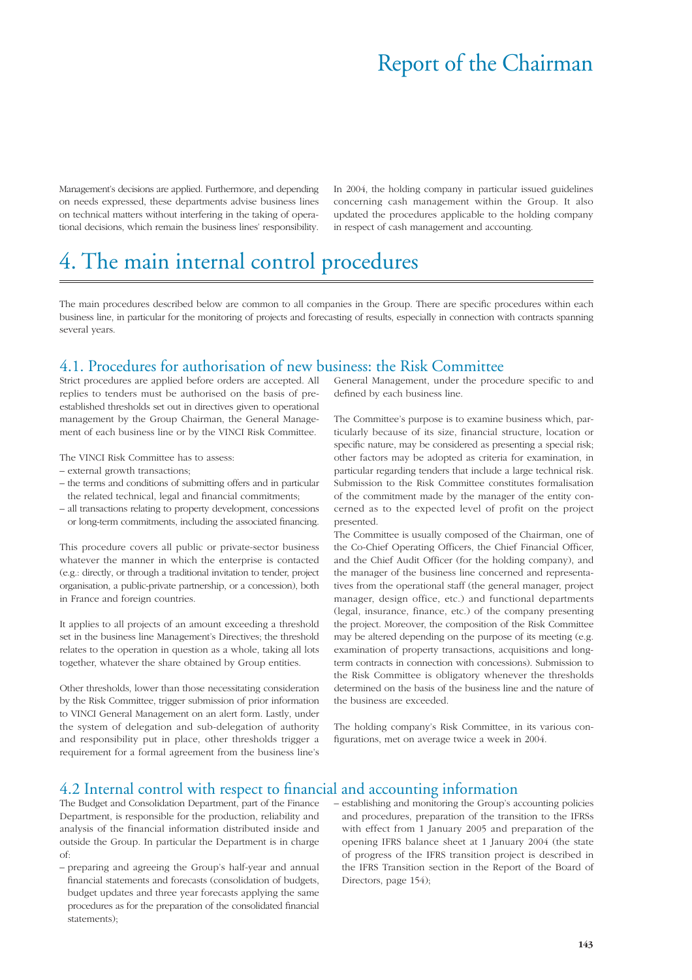# Report of the Chairman

Management's decisions are applied. Furthermore, and depending on needs expressed, these departments advise business lines on technical matters without interfering in the taking of operational decisions, which remain the business lines' responsibility.

In 2004, the holding company in particular issued guidelines concerning cash management within the Group. It also updated the procedures applicable to the holding company in respect of cash management and accounting.

# 4. The main internal control procedures

The main procedures described below are common to all companies in the Group. There are specific procedures within each business line, in particular for the monitoring of projects and forecasting of results, especially in connection with contracts spanning several years.

### 4.1. Procedures for authorisation of new business: the Risk Committee

Strict procedures are applied before orders are accepted. All replies to tenders must be authorised on the basis of preestablished thresholds set out in directives given to operational management by the Group Chairman, the General Management of each business line or by the VINCI Risk Committee.

The VINCI Risk Committee has to assess:

- external growth transactions;
- the terms and conditions of submitting offers and in particular the related technical, legal and financial commitments;
- all transactions relating to property development, concessions or long-term commitments, including the associated financing.

This procedure covers all public or private-sector business whatever the manner in which the enterprise is contacted (e.g.: directly, or through a traditional invitation to tender, project organisation, a public-private partnership, or a concession), both in France and foreign countries.

It applies to all projects of an amount exceeding a threshold set in the business line Management's Directives; the threshold relates to the operation in question as a whole, taking all lots together, whatever the share obtained by Group entities.

Other thresholds, lower than those necessitating consideration by the Risk Committee, trigger submission of prior information to VINCI General Management on an alert form. Lastly, under the system of delegation and sub-delegation of authority and responsibility put in place, other thresholds trigger a requirement for a formal agreement from the business line's General Management, under the procedure specific to and defined by each business line.

The Committee's purpose is to examine business which, particularly because of its size, financial structure, location or specific nature, may be considered as presenting a special risk; other factors may be adopted as criteria for examination, in particular regarding tenders that include a large technical risk. Submission to the Risk Committee constitutes formalisation of the commitment made by the manager of the entity concerned as to the expected level of profit on the project presented.

The Committee is usually composed of the Chairman, one of the Co-Chief Operating Officers, the Chief Financial Officer, and the Chief Audit Officer (for the holding company), and the manager of the business line concerned and representatives from the operational staff (the general manager, project manager, design office, etc.) and functional departments (legal, insurance, finance, etc.) of the company presenting the project. Moreover, the composition of the Risk Committee may be altered depending on the purpose of its meeting (e.g. examination of property transactions, acquisitions and longterm contracts in connection with concessions). Submission to the Risk Committee is obligatory whenever the thresholds determined on the basis of the business line and the nature of the business are exceeded.

The holding company's Risk Committee, in its various configurations, met on average twice a week in 2004.

#### 4.2 Internal control with respect to financial and accounting information

The Budget and Consolidation Department, part of the Finance Department, is responsible for the production, reliability and analysis of the financial information distributed inside and outside the Group. In particular the Department is in charge of:

- preparing and agreeing the Group's half-year and annual financial statements and forecasts (consolidation of budgets, budget updates and three year forecasts applying the same procedures as for the preparation of the consolidated financial statements);
- establishing and monitoring the Group's accounting policies and procedures, preparation of the transition to the IFRSs with effect from 1 January 2005 and preparation of the opening IFRS balance sheet at 1 January 2004 (the state of progress of the IFRS transition project is described in the IFRS Transition section in the Report of the Board of Directors, page 154);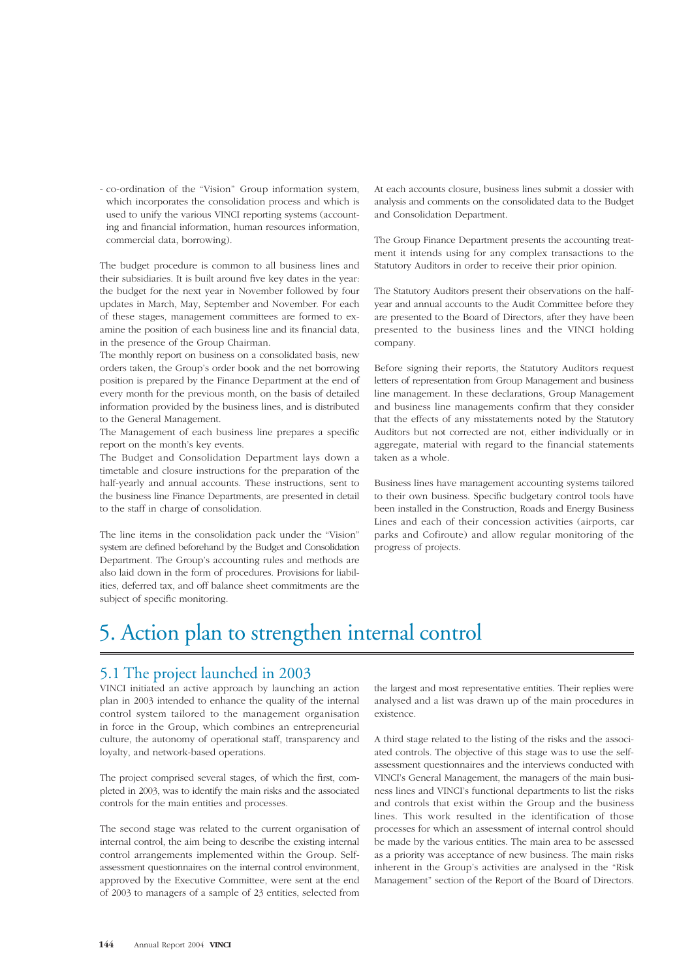- co-ordination of the "Vision" Group information system, which incorporates the consolidation process and which is used to unify the various VINCI reporting systems (accounting and financial information, human resources information, commercial data, borrowing).

The budget procedure is common to all business lines and their subsidiaries. It is built around five key dates in the year: the budget for the next year in November followed by four updates in March, May, September and November. For each of these stages, management committees are formed to examine the position of each business line and its financial data, in the presence of the Group Chairman.

The monthly report on business on a consolidated basis, new orders taken, the Group's order book and the net borrowing position is prepared by the Finance Department at the end of every month for the previous month, on the basis of detailed information provided by the business lines, and is distributed to the General Management.

The Management of each business line prepares a specific report on the month's key events.

The Budget and Consolidation Department lays down a timetable and closure instructions for the preparation of the half-yearly and annual accounts. These instructions, sent to the business line Finance Departments, are presented in detail to the staff in charge of consolidation.

The line items in the consolidation pack under the "Vision" system are defined beforehand by the Budget and Consolidation Department. The Group's accounting rules and methods are also laid down in the form of procedures. Provisions for liabilities, deferred tax, and off balance sheet commitments are the subject of specific monitoring.

At each accounts closure, business lines submit a dossier with analysis and comments on the consolidated data to the Budget and Consolidation Department.

The Group Finance Department presents the accounting treatment it intends using for any complex transactions to the Statutory Auditors in order to receive their prior opinion.

The Statutory Auditors present their observations on the halfyear and annual accounts to the Audit Committee before they are presented to the Board of Directors, after they have been presented to the business lines and the VINCI holding company.

Before signing their reports, the Statutory Auditors request letters of representation from Group Management and business line management. In these declarations, Group Management and business line managements confirm that they consider that the effects of any misstatements noted by the Statutory Auditors but not corrected are not, either individually or in aggregate, material with regard to the financial statements taken as a whole.

Business lines have management accounting systems tailored to their own business. Specific budgetary control tools have been installed in the Construction, Roads and Energy Business Lines and each of their concession activities (airports, car parks and Cofiroute) and allow regular monitoring of the progress of projects.

# 5. Action plan to strengthen internal control

#### 5.1 The project launched in 2003

VINCI initiated an active approach by launching an action plan in 2003 intended to enhance the quality of the internal control system tailored to the management organisation in force in the Group, which combines an entrepreneurial culture, the autonomy of operational staff, transparency and loyalty, and network-based operations.

The project comprised several stages, of which the first, completed in 2003, was to identify the main risks and the associated controls for the main entities and processes.

The second stage was related to the current organisation of internal control, the aim being to describe the existing internal control arrangements implemented within the Group. Selfassessment questionnaires on the internal control environment, approved by the Executive Committee, were sent at the end of 2003 to managers of a sample of 23 entities, selected from

the largest and most representative entities. Their replies were analysed and a list was drawn up of the main procedures in existence.

A third stage related to the listing of the risks and the associated controls. The objective of this stage was to use the selfassessment questionnaires and the interviews conducted with VINCI's General Management, the managers of the main business lines and VINCI's functional departments to list the risks and controls that exist within the Group and the business lines. This work resulted in the identification of those processes for which an assessment of internal control should be made by the various entities. The main area to be assessed as a priority was acceptance of new business. The main risks inherent in the Group's activities are analysed in the "Risk Management" section of the Report of the Board of Directors.